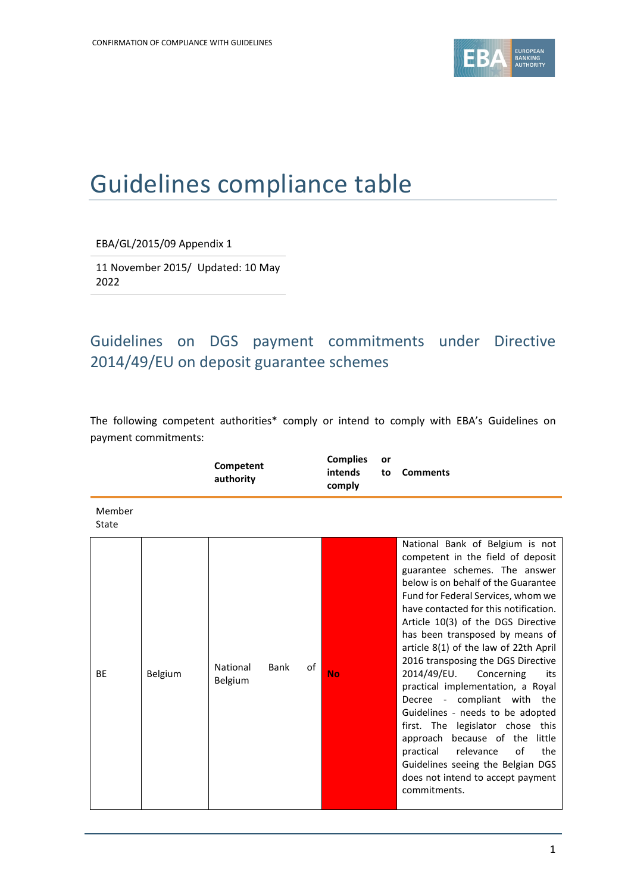

# Guidelines compliance table

EBA/GL/2015/09 Appendix 1

11 November 2015/ Updated: 10 May 2022

## Guidelines on DGS payment commitments under Directive 2014/49/EU on deposit guarantee schemes

The following competent authorities\* comply or intend to comply with EBA's Guidelines on payment commitments:

|                 |         | Competent<br>authority |      |    | <b>Complies</b><br>intends<br>comply | or<br>to | <b>Comments</b>                                                                                                                                                                                                                                                                                                                                                                                                                                                                                                                                                                                                                                                                                                                           |
|-----------------|---------|------------------------|------|----|--------------------------------------|----------|-------------------------------------------------------------------------------------------------------------------------------------------------------------------------------------------------------------------------------------------------------------------------------------------------------------------------------------------------------------------------------------------------------------------------------------------------------------------------------------------------------------------------------------------------------------------------------------------------------------------------------------------------------------------------------------------------------------------------------------------|
| Member<br>State |         |                        |      |    |                                      |          |                                                                                                                                                                                                                                                                                                                                                                                                                                                                                                                                                                                                                                                                                                                                           |
| <b>BE</b>       | Belgium | National<br>Belgium    | Bank | οf | <b>No</b>                            |          | National Bank of Belgium is not<br>competent in the field of deposit<br>guarantee schemes. The answer<br>below is on behalf of the Guarantee<br>Fund for Federal Services, whom we<br>have contacted for this notification.<br>Article 10(3) of the DGS Directive<br>has been transposed by means of<br>article 8(1) of the law of 22th April<br>2016 transposing the DGS Directive<br>2014/49/EU.<br>Concerning<br>its<br>practical implementation, a Royal<br>Decree - compliant with the<br>Guidelines - needs to be adopted<br>first. The legislator chose this<br>approach because of the<br>little<br>practical<br>relevance<br>of<br>the<br>Guidelines seeing the Belgian DGS<br>does not intend to accept payment<br>commitments. |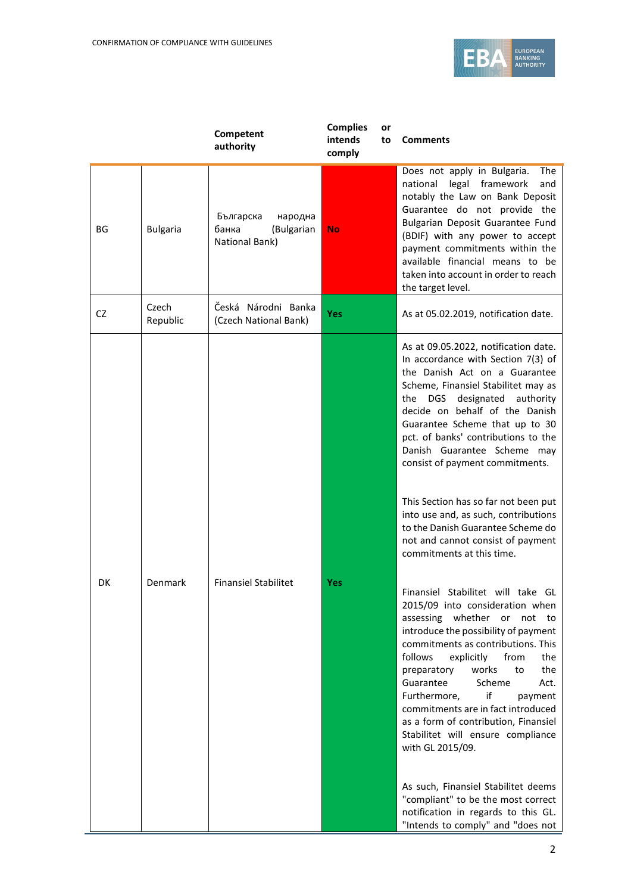

|           |                   | Competent<br>authority                                        | <b>Complies</b><br>intends<br>comply | or<br>to | <b>Comments</b>                                                                                                                                                                                                                                                                                                                                                                                                                                                                                                                                                                                                                                                                                                                                                                                                                                                                                                                                                                                                                                                                                                                                                                                      |
|-----------|-------------------|---------------------------------------------------------------|--------------------------------------|----------|------------------------------------------------------------------------------------------------------------------------------------------------------------------------------------------------------------------------------------------------------------------------------------------------------------------------------------------------------------------------------------------------------------------------------------------------------------------------------------------------------------------------------------------------------------------------------------------------------------------------------------------------------------------------------------------------------------------------------------------------------------------------------------------------------------------------------------------------------------------------------------------------------------------------------------------------------------------------------------------------------------------------------------------------------------------------------------------------------------------------------------------------------------------------------------------------------|
| ΒG        | <b>Bulgaria</b>   | Българска<br>народна<br>банка<br>(Bulgarian<br>National Bank) | <b>No</b>                            |          | Does not apply in Bulgaria.<br>The<br>national legal framework<br>and<br>notably the Law on Bank Deposit<br>Guarantee do not provide the<br>Bulgarian Deposit Guarantee Fund<br>(BDIF) with any power to accept<br>payment commitments within the<br>available financial means to be<br>taken into account in order to reach<br>the target level.                                                                                                                                                                                                                                                                                                                                                                                                                                                                                                                                                                                                                                                                                                                                                                                                                                                    |
| <b>CZ</b> | Czech<br>Republic | Česká Národni Banka<br>(Czech National Bank)                  | Yes                                  |          | As at 05.02.2019, notification date.                                                                                                                                                                                                                                                                                                                                                                                                                                                                                                                                                                                                                                                                                                                                                                                                                                                                                                                                                                                                                                                                                                                                                                 |
| DK        | Denmark           | <b>Finansiel Stabilitet</b>                                   | Yes                                  |          | As at 09.05.2022, notification date.<br>In accordance with Section 7(3) of<br>the Danish Act on a Guarantee<br>Scheme, Finansiel Stabilitet may as<br>DGS designated authority<br>the<br>decide on behalf of the Danish<br>Guarantee Scheme that up to 30<br>pct. of banks' contributions to the<br>Danish Guarantee Scheme may<br>consist of payment commitments.<br>This Section has so far not been put<br>into use and, as such, contributions<br>to the Danish Guarantee Scheme do<br>not and cannot consist of payment<br>commitments at this time.<br>Finansiel Stabilitet will take GL<br>2015/09 into consideration when<br>assessing whether<br>or<br>not<br>to<br>introduce the possibility of payment<br>commitments as contributions. This<br>follows<br>from<br>explicitly<br>the<br>works<br>preparatory<br>to<br>the<br>Guarantee<br>Scheme<br>Act.<br>if<br>Furthermore,<br>payment<br>commitments are in fact introduced<br>as a form of contribution, Finansiel<br>Stabilitet will ensure compliance<br>with GL 2015/09.<br>As such, Finansiel Stabilitet deems<br>"compliant" to be the most correct<br>notification in regards to this GL.<br>"Intends to comply" and "does not |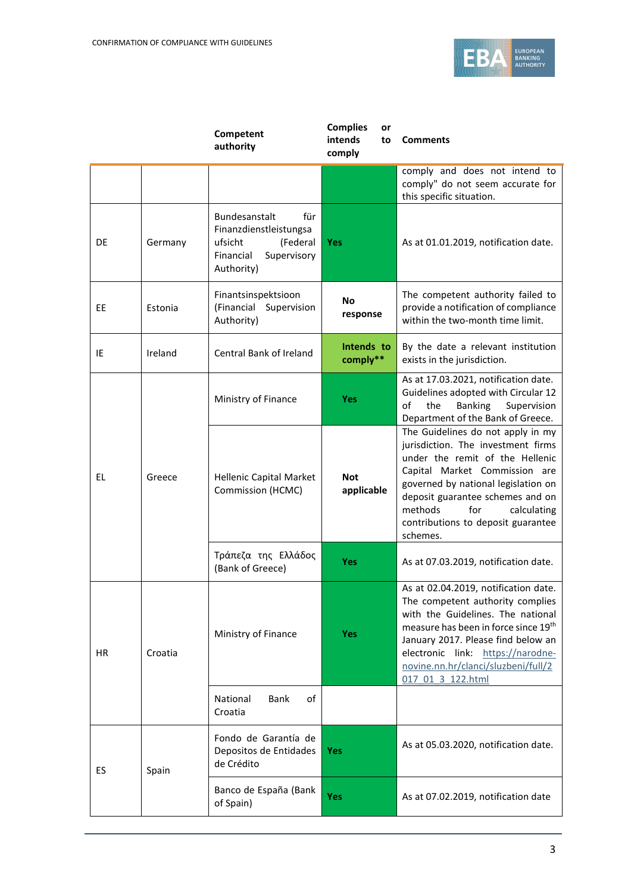

|           |         | Competent<br>authority                                                                                          | <b>Complies</b><br>or<br>intends<br>to<br>comply | <b>Comments</b>                                                                                                                                                                                                                                                                                           |
|-----------|---------|-----------------------------------------------------------------------------------------------------------------|--------------------------------------------------|-----------------------------------------------------------------------------------------------------------------------------------------------------------------------------------------------------------------------------------------------------------------------------------------------------------|
|           |         |                                                                                                                 |                                                  | comply and does not intend to<br>comply" do not seem accurate for<br>this specific situation.                                                                                                                                                                                                             |
| DE        | Germany | Bundesanstalt<br>für<br>Finanzdienstleistungsa<br>ufsicht<br>(Federal<br>Financial<br>Supervisory<br>Authority) | <b>Yes</b>                                       | As at 01.01.2019, notification date.                                                                                                                                                                                                                                                                      |
| <b>EE</b> | Estonia | Finantsinspektsioon<br>(Financial Supervision<br>Authority)                                                     | <b>No</b><br>response                            | The competent authority failed to<br>provide a notification of compliance<br>within the two-month time limit.                                                                                                                                                                                             |
| IE        | Ireland | Central Bank of Ireland                                                                                         | Intends to<br>comply**                           | By the date a relevant institution<br>exists in the jurisdiction.                                                                                                                                                                                                                                         |
|           |         | Ministry of Finance                                                                                             | <b>Yes</b>                                       | As at 17.03.2021, notification date.<br>Guidelines adopted with Circular 12<br>οf<br>the<br>Banking<br>Supervision<br>Department of the Bank of Greece.                                                                                                                                                   |
| EL        | Greece  | Hellenic Capital Market<br>Commission (HCMC)                                                                    | <b>Not</b><br>applicable                         | The Guidelines do not apply in my<br>jurisdiction. The investment firms<br>under the remit of the Hellenic<br>Capital Market Commission are<br>governed by national legislation on<br>deposit guarantee schemes and on<br>methods<br>for<br>calculating<br>contributions to deposit guarantee<br>schemes. |
|           |         | Τράπεζα της Ελλάδος<br>(Bank of Greece)                                                                         | <b>Yes</b>                                       | As at 07.03.2019, notification date.                                                                                                                                                                                                                                                                      |
| НR        | Croatia | Ministry of Finance                                                                                             | <b>Yes</b>                                       | As at 02.04.2019, notification date.<br>The competent authority complies<br>with the Guidelines. The national<br>measure has been in force since 19th<br>January 2017. Please find below an<br>electronic link: https://narodne-<br>novine.nn.hr/clanci/sluzbeni/full/2<br>017 01 3 122.html              |
|           |         | National<br>Bank<br>of<br>Croatia                                                                               |                                                  |                                                                                                                                                                                                                                                                                                           |
| ES        | Spain   | Fondo de Garantía de<br>Depositos de Entidades<br>de Crédito                                                    | <b>Yes</b>                                       | As at 05.03.2020, notification date.                                                                                                                                                                                                                                                                      |
|           |         | Banco de España (Bank<br>of Spain)                                                                              | Yes                                              | As at 07.02.2019, notification date                                                                                                                                                                                                                                                                       |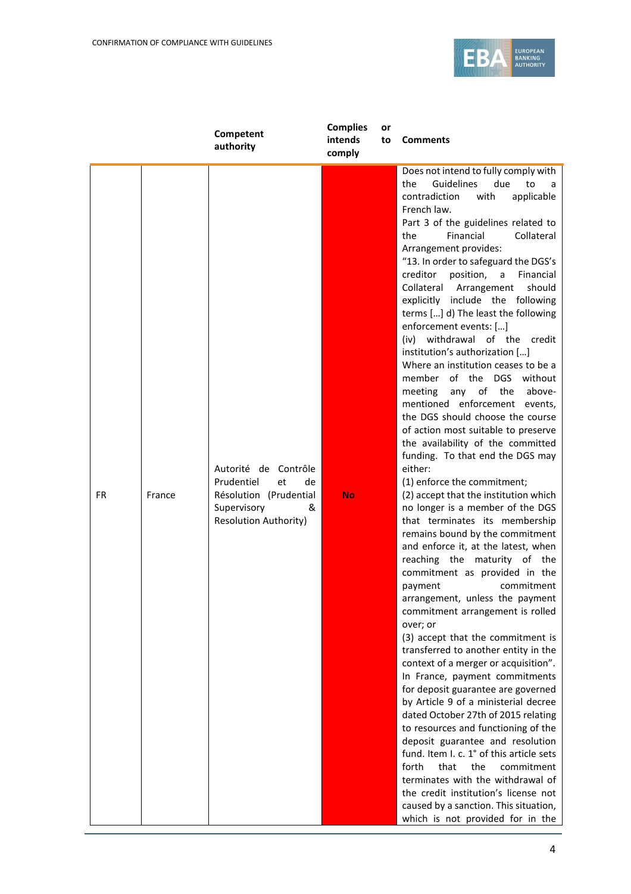

|           |        | Competent<br>authority                                                                                                       | <b>Complies</b><br>intends<br>comply | or<br>to | <b>Comments</b>                                                                                                                                                                                                                                                                                                                                                                                                                                                                                                                                                                                                                                                                                                                                                                                                                                                                                                                                                                                                                                                                                                                                                                                                                                                                                                                                                                                                                                                                                                                                                                                                                                                                                                                                                                                                                                   |
|-----------|--------|------------------------------------------------------------------------------------------------------------------------------|--------------------------------------|----------|---------------------------------------------------------------------------------------------------------------------------------------------------------------------------------------------------------------------------------------------------------------------------------------------------------------------------------------------------------------------------------------------------------------------------------------------------------------------------------------------------------------------------------------------------------------------------------------------------------------------------------------------------------------------------------------------------------------------------------------------------------------------------------------------------------------------------------------------------------------------------------------------------------------------------------------------------------------------------------------------------------------------------------------------------------------------------------------------------------------------------------------------------------------------------------------------------------------------------------------------------------------------------------------------------------------------------------------------------------------------------------------------------------------------------------------------------------------------------------------------------------------------------------------------------------------------------------------------------------------------------------------------------------------------------------------------------------------------------------------------------------------------------------------------------------------------------------------------------|
| <b>FR</b> | France | Autorité de Contrôle<br>Prudentiel<br>et<br>de<br>Résolution (Prudential<br>Supervisory<br>&<br><b>Resolution Authority)</b> | <b>No</b>                            |          | Does not intend to fully comply with<br>Guidelines<br>due<br>the<br>to<br>a<br>contradiction<br>applicable<br>with<br>French law.<br>Part 3 of the guidelines related to<br>Financial<br>Collateral<br>the<br>Arrangement provides:<br>"13. In order to safeguard the DGS's<br>position,<br>creditor<br>a<br>Financial<br>Collateral Arrangement<br>should<br>explicitly include the following<br>terms [] d) The least the following<br>enforcement events: []<br>(iv) withdrawal of the credit<br>institution's authorization []<br>Where an institution ceases to be a<br>member of the DGS without<br>any of the<br>meeting<br>above-<br>mentioned enforcement events,<br>the DGS should choose the course<br>of action most suitable to preserve<br>the availability of the committed<br>funding. To that end the DGS may<br>either:<br>(1) enforce the commitment;<br>(2) accept that the institution which<br>no longer is a member of the DGS<br>that terminates its membership<br>remains bound by the commitment<br>and enforce it, at the latest, when<br>reaching the maturity of the<br>commitment as provided in the<br>commitment<br>payment<br>arrangement, unless the payment<br>commitment arrangement is rolled<br>over; or<br>(3) accept that the commitment is<br>transferred to another entity in the<br>context of a merger or acquisition".<br>In France, payment commitments<br>for deposit guarantee are governed<br>by Article 9 of a ministerial decree<br>dated October 27th of 2015 relating<br>to resources and functioning of the<br>deposit guarantee and resolution<br>fund. Item I. c. 1° of this article sets<br>forth<br>that<br>the<br>commitment<br>terminates with the withdrawal of<br>the credit institution's license not<br>caused by a sanction. This situation,<br>which is not provided for in the |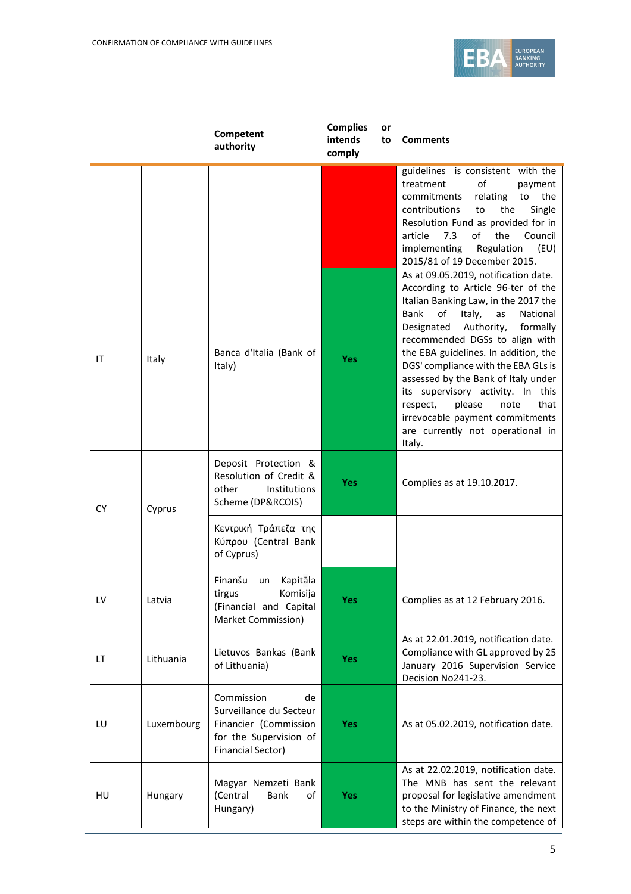

|           |            | Competent<br>authority                                                                                              | <b>Complies</b><br>intends<br>comply | or<br>to | <b>Comments</b>                                                                                                                                                                                                                                                                                                                                                                                                                            |
|-----------|------------|---------------------------------------------------------------------------------------------------------------------|--------------------------------------|----------|--------------------------------------------------------------------------------------------------------------------------------------------------------------------------------------------------------------------------------------------------------------------------------------------------------------------------------------------------------------------------------------------------------------------------------------------|
|           |            |                                                                                                                     |                                      |          | guidelines is consistent with the<br>of<br>treatment<br>payment<br>commitments<br>the<br>relating<br>to<br>contributions<br>the<br>Single<br>to<br>Resolution Fund as provided for in<br>article<br>7.3<br>οf<br>the<br>Council<br>implementing<br>Regulation<br>(EU)<br>2015/81 of 19 December 2015.<br>As at 09.05.2019, notification date.<br>According to Article 96-ter of the                                                        |
| ΙT        | Italy      | Banca d'Italia (Bank of<br>Italy)                                                                                   | <b>Yes</b>                           |          | Italian Banking Law, in the 2017 the<br>of<br>Italy,<br>National<br>Bank<br>as<br>Authority,<br>Designated<br>formally<br>recommended DGSs to align with<br>the EBA guidelines. In addition, the<br>DGS' compliance with the EBA GLs is<br>assessed by the Bank of Italy under<br>its supervisory activity. In this<br>that<br>respect,<br>please<br>note<br>irrevocable payment commitments<br>are currently not operational in<br>Italy. |
| <b>CY</b> | Cyprus     | Deposit Protection &<br>Resolution of Credit &<br>other<br>Institutions<br>Scheme (DP&RCOIS)                        | <b>Yes</b>                           |          | Complies as at 19.10.2017.                                                                                                                                                                                                                                                                                                                                                                                                                 |
|           |            | Κεντρική Τράπεζα της<br>Κύπρου (Central Bank<br>of Cyprus)                                                          |                                      |          |                                                                                                                                                                                                                                                                                                                                                                                                                                            |
| LV        | Latvia     | Finanšu<br>Kapitāla<br>un<br>tirgus<br>Komisiia<br>(Financial and Capital<br>Market Commission)                     | <b>Yes</b>                           |          | Complies as at 12 February 2016.                                                                                                                                                                                                                                                                                                                                                                                                           |
| LT        | Lithuania  | Lietuvos Bankas (Bank<br>of Lithuania)                                                                              | <b>Yes</b>                           |          | As at 22.01.2019, notification date.<br>Compliance with GL approved by 25<br>January 2016 Supervision Service<br>Decision No241-23.                                                                                                                                                                                                                                                                                                        |
| LU        | Luxembourg | Commission<br>de<br>Surveillance du Secteur<br>Financier (Commission<br>for the Supervision of<br>Financial Sector) | <b>Yes</b>                           |          | As at 05.02.2019, notification date.                                                                                                                                                                                                                                                                                                                                                                                                       |
| HU        | Hungary    | Magyar Nemzeti Bank<br>(Central<br>Bank<br>of<br>Hungary)                                                           | <b>Yes</b>                           |          | As at 22.02.2019, notification date.<br>The MNB has sent the relevant<br>proposal for legislative amendment<br>to the Ministry of Finance, the next<br>steps are within the competence of                                                                                                                                                                                                                                                  |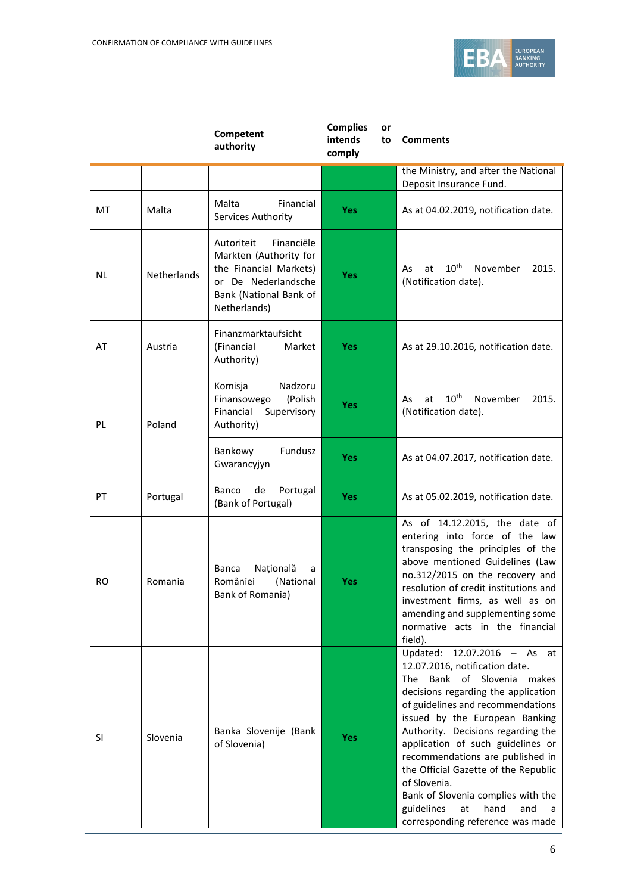

|    |                    | Competent<br>authority                                                                                                                        | <b>Complies</b><br>or<br>intends<br>to<br>comply | <b>Comments</b>                                                                                                                                                                                                                                                                                                                                                                                                                                                                                                     |
|----|--------------------|-----------------------------------------------------------------------------------------------------------------------------------------------|--------------------------------------------------|---------------------------------------------------------------------------------------------------------------------------------------------------------------------------------------------------------------------------------------------------------------------------------------------------------------------------------------------------------------------------------------------------------------------------------------------------------------------------------------------------------------------|
|    |                    |                                                                                                                                               |                                                  | the Ministry, and after the National<br>Deposit Insurance Fund.                                                                                                                                                                                                                                                                                                                                                                                                                                                     |
| МT | Malta              | Malta<br>Financial<br>Services Authority                                                                                                      | <b>Yes</b>                                       | As at 04.02.2019, notification date.                                                                                                                                                                                                                                                                                                                                                                                                                                                                                |
| NL | <b>Netherlands</b> | Financiële<br>Autoriteit<br>Markten (Authority for<br>the Financial Markets)<br>or De Nederlandsche<br>Bank (National Bank of<br>Netherlands) | Yes                                              | $10^{\text{th}}$<br>November<br>2015.<br>As<br>at<br>(Notification date).                                                                                                                                                                                                                                                                                                                                                                                                                                           |
| AT | Austria            | Finanzmarktaufsicht<br>(Financial<br>Market<br>Authority)                                                                                     | <b>Yes</b>                                       | As at 29.10.2016, notification date.                                                                                                                                                                                                                                                                                                                                                                                                                                                                                |
| PL | Poland             | Komisja<br>Nadzoru<br>Finansowego<br>(Polish<br>Financial<br>Supervisory<br>Authority)                                                        | Yes                                              | $10^{\text{th}}$<br>November<br>2015.<br>at<br>As<br>(Notification date).                                                                                                                                                                                                                                                                                                                                                                                                                                           |
|    |                    | Fundusz<br>Bankowy<br>Gwarancyjyn                                                                                                             | <b>Yes</b>                                       | As at 04.07.2017, notification date.                                                                                                                                                                                                                                                                                                                                                                                                                                                                                |
| PT | Portugal           | Banco<br>Portugal<br>de<br>(Bank of Portugal)                                                                                                 | <b>Yes</b>                                       | As at 05.02.2019, notification date.                                                                                                                                                                                                                                                                                                                                                                                                                                                                                |
| RO | Romania            | Națională<br>Banca<br>a<br>României<br>(National<br>Bank of Romania)                                                                          | Yes                                              | As of 14.12.2015, the date of<br>entering into force of the law<br>transposing the principles of the<br>above mentioned Guidelines (Law<br>no.312/2015 on the recovery and<br>resolution of credit institutions and<br>investment firms, as well as on<br>amending and supplementing some<br>normative acts in the financial<br>field).                                                                                                                                                                             |
| SI | Slovenia           | Banka Slovenije (Bank<br>of Slovenia)                                                                                                         | Yes                                              | $12.07.2016 - As$<br>Updated:<br>at<br>12.07.2016, notification date.<br>of Slovenia<br>Bank<br>The<br>makes<br>decisions regarding the application<br>of guidelines and recommendations<br>issued by the European Banking<br>Authority. Decisions regarding the<br>application of such guidelines or<br>recommendations are published in<br>the Official Gazette of the Republic<br>of Slovenia.<br>Bank of Slovenia complies with the<br>guidelines<br>at<br>hand<br>and<br>a<br>corresponding reference was made |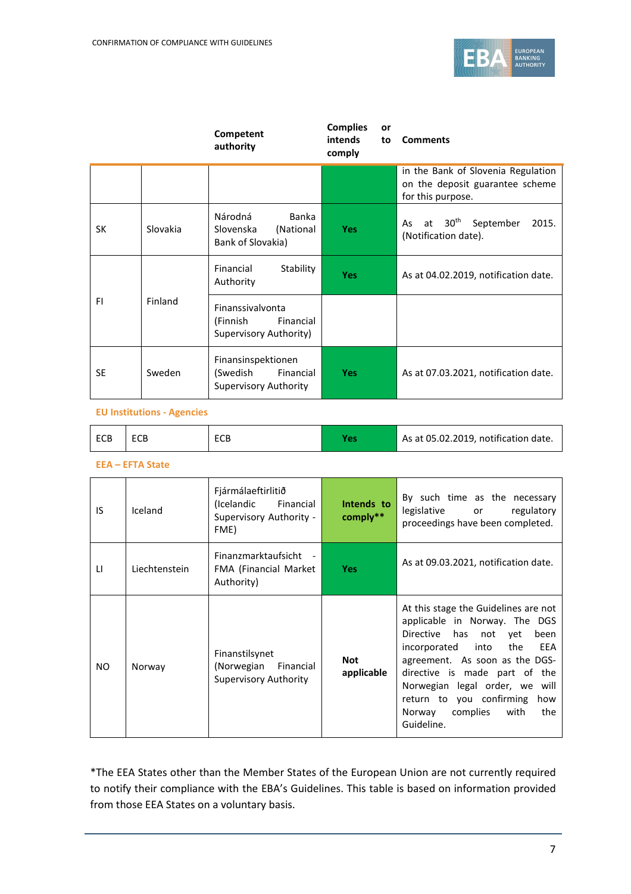

|           |                | Competent<br>authority                                                      | <b>Complies</b><br>or<br>intends<br>to<br>comply | <b>Comments</b>                                                                            |
|-----------|----------------|-----------------------------------------------------------------------------|--------------------------------------------------|--------------------------------------------------------------------------------------------|
|           |                |                                                                             |                                                  | in the Bank of Slovenia Regulation<br>on the deposit guarantee scheme<br>for this purpose. |
| <b>SK</b> | Slovakia       | Národná<br>Banka<br>(National<br>Slovenska<br>Bank of Slovakia)             | <b>Yes</b>                                       | 30 <sup>th</sup><br>September<br>2015.<br>at<br>As<br>(Notification date).                 |
|           |                | Financial<br>Stability<br>Authority                                         | <b>Yes</b>                                       | As at 04.02.2019, notification date.                                                       |
| FI        | <b>Finland</b> | Finanssivalvonta<br>Financial<br>(Finnish<br>Supervisory Authority)         |                                                  |                                                                                            |
| <b>SE</b> | Sweden         | Finansinspektionen<br>(Swedish<br>Financial<br><b>Supervisory Authority</b> | <b>Yes</b>                                       | As at 07.03.2021, notification date.                                                       |

#### **EU Institutions - Agencies**

| ECB | ECB | ECB |  | As at 05.02.2019, notification date. |
|-----|-----|-----|--|--------------------------------------|
|-----|-----|-----|--|--------------------------------------|

#### **EEA – EFTA State**

| IS.          | Iceland       | Fjármálaeftirlitið<br>(Icelandic<br>Financial<br>Supervisory Authority -<br>FME) | Intends to<br>comply** | By such time as the necessary<br>legislative<br>regulatory<br>or<br>proceedings have been completed.                                                                                                                                                                                                                                 |
|--------------|---------------|----------------------------------------------------------------------------------|------------------------|--------------------------------------------------------------------------------------------------------------------------------------------------------------------------------------------------------------------------------------------------------------------------------------------------------------------------------------|
| $\mathsf{H}$ | Liechtenstein | Finanzmarktaufsicht -<br>FMA (Financial Market<br>Authority)                     | <b>Yes</b>             | As at 09.03.2021, notification date.                                                                                                                                                                                                                                                                                                 |
| NO.          | Norway        | Finanstilsynet<br>(Norwegian<br>Financial<br>Supervisory Authority               | Not<br>applicable      | At this stage the Guidelines are not<br>applicable in Norway. The DGS<br>Directive has not yet<br>been<br>EEA<br>into<br>the<br>incorporated<br>agreement. As soon as the DGS-<br>directive is made part of the<br>Norwegian legal order, we will<br>return to you confirming<br>how<br>Norway complies<br>with<br>the<br>Guideline. |

\*The EEA States other than the Member States of the European Union are not currently required to notify their compliance with the EBA's Guidelines. This table is based on information provided from those EEA States on a voluntary basis.